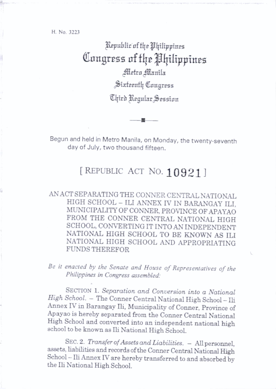H. No, 3223

Republic of the Philippines Congress of the Philippines Aletro Manila Sixteenth Congress Chird Regular Session

Begun and held in Metro Manila, on Monday, the twenty-seventh day of July, two thousand fifteen.

题.

## [ REPUBLIC ACT NO. 10921]

AN ACT SEPARATING THE CONNER CENTRAL NATIONAL HIGH SCHOOL - ILI ANNEX IV IN BARANGAY ILI, MUNICIPALITY OF CONNER. PROVINCE OF APAYAO FROM THE CONNER CENTRAL NATIONAL HIGH SCHOOL, CONVERTING IT INTO AN INDEPENDENT NATIONAL HIGH SCHOOL TO BE KNOWN AS ILI NATIONAL HIGH SCHOOL AND APPROPRIATING FUNDS THEREFOR

Be it enacted by the Senate and House of Representatives of the Philippines in Congress assembled:

SECTION 1. Separation and Conversion into a National High School. - The Conner Central National High School - Ili Annex IV in Barangay Ili, Municipality of Conner, Province of Apayao is hereby separated from the Conner Central National High School and converted into an independent national high school to be known as Ili National High School.

SEC. 2. Transfer of Assets and Liabilities. - All personnel. assets, Labilities and records of the Conner Central National High School - Ili Annex IV are hereby transferred to and absorbed by the Ili National High School.